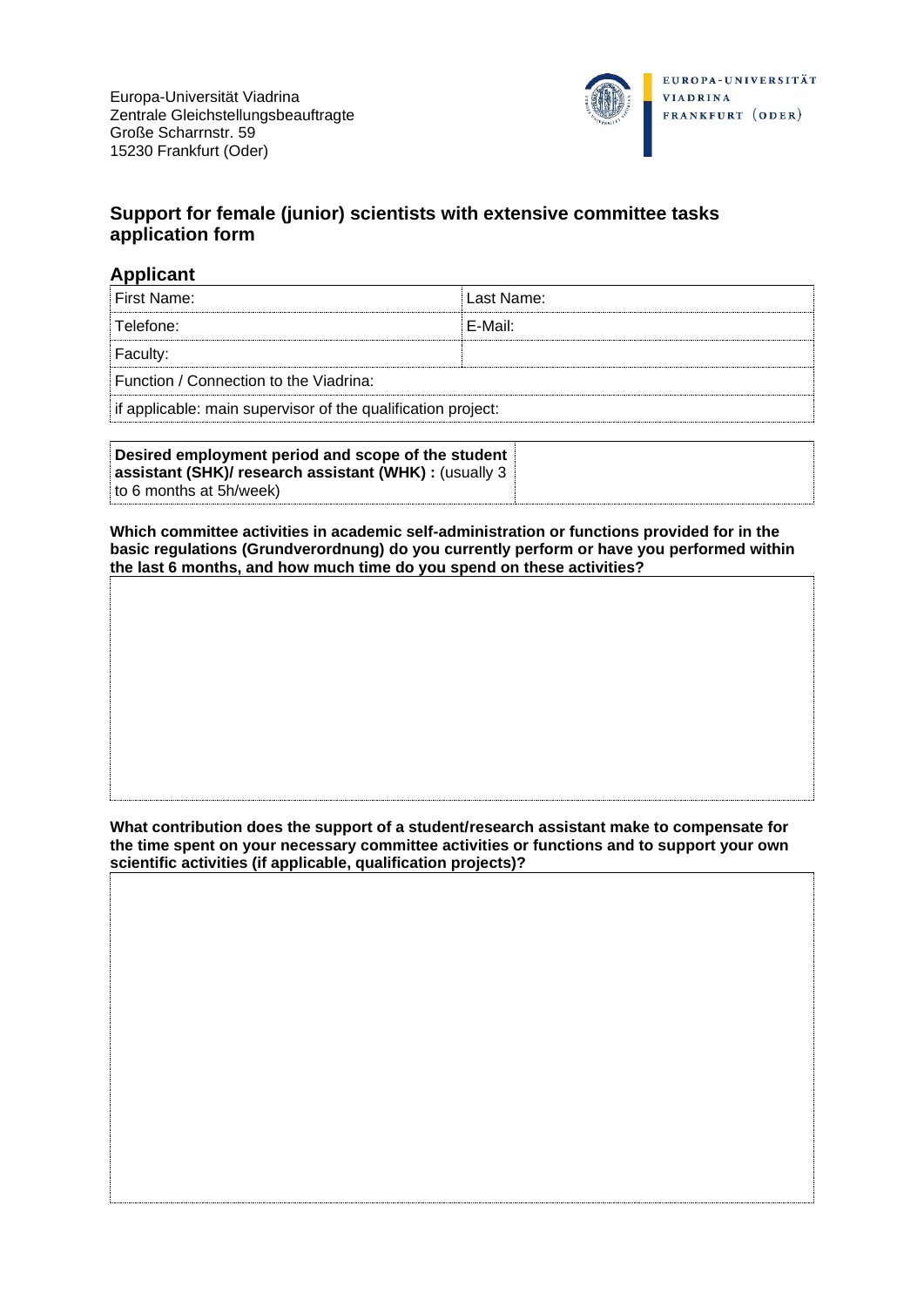

## **Support for female (junior) scientists with extensive committee tasks application form**

## **Applicant**

| ≟First Name:                                                 | Last Name: |  |  |
|--------------------------------------------------------------|------------|--|--|
| Telefone:                                                    | F-Mail:    |  |  |
| Faculty:                                                     |            |  |  |
| Function / Connection to the Viadrina:                       |            |  |  |
| if applicable: main supervisor of the qualification project: |            |  |  |

| Desired employment period and scope of the student     |  |
|--------------------------------------------------------|--|
| assistant (SHK)/ research assistant (WHK) : (usually 3 |  |
| to 6 months at 5h/week)                                |  |

**Which committee activities in academic self-administration or functions provided for in the basic regulations (Grundverordnung) do you currently perform or have you performed within the last 6 months, and how much time do you spend on these activities?**

**What contribution does the support of a student/research assistant make to compensate for the time spent on your necessary committee activities or functions and to support your own scientific activities (if applicable, qualification projects)?**